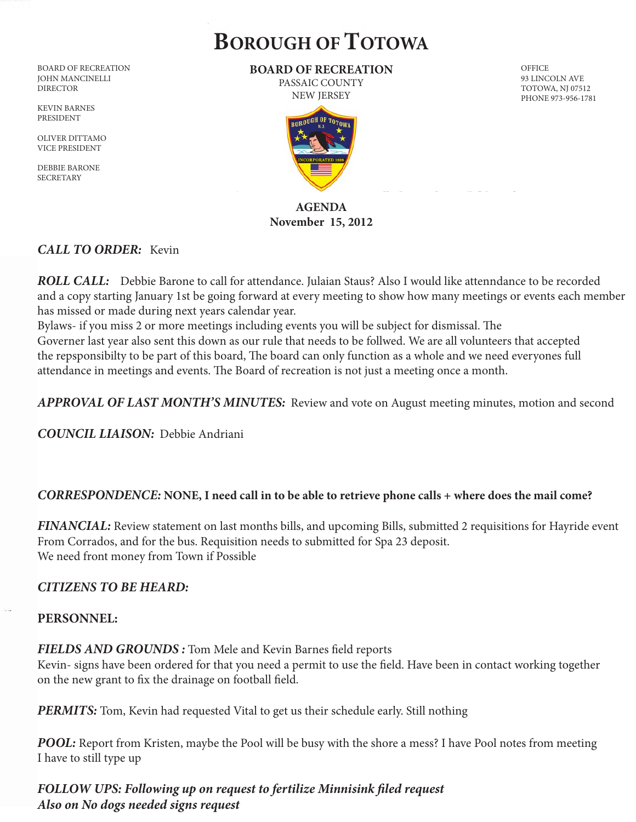# **BOROUGH OF TOTOWA**

BOARD OF RECREATION JOHN MANCINELLI DIRECTOR

KEVIN BARNES PRESIDENT

OLIVER DITTAMO VICE PRESIDENT

DEBBIE BARONE **SECRETARY** 

**BOARD OF RECREATION** PASSAIC COUNTY

NEW JERSEY



## **AGENDA November 15, 2012**

## *CALL TO ORDER:* Kevin

*ROLL CALL:*Debbie Barone to call for attendance. Julaian Staus? Also I would like attenndance to be recorded and a copy starting January 1st be going forward at every meeting to show how many meetings or events each member has missed or made during next years calendar year.

Bylaws- if you miss 2 or more meetings including events you will be subject for dismissal. The Governer last year also sent this down as our rule that needs to be follwed. We are all volunteers that accepted the repsponsibilty to be part of this board, The board can only function as a whole and we need everyones full attendance in meetings and events. The Board of recreation is not just a meeting once a month.

*APPROVAL OF LAST MONTH'S MINUTES:* Review and vote on August meeting minutes, motion and second

*COUNCIL LIAISON:* Debbie Andriani

## *CORRESPONDENCE:* **NONE, I need call in to be able to retrieve phone calls + where does the mail come?**

*FINANCIAL:* Review statement on last months bills, and upcoming Bills, submitted 2 requisitions for Hayride event From Corrados, and for the bus. Requisition needs to submitted for Spa 23 deposit. We need front money from Town if Possible

## *CITIZENS TO BE HEARD:*

## **PERSONNEL:**

*FIELDS AND GROUNDS :* Tom Mele and Kevin Barnes field reports

Kevin- signs have been ordered for that you need a permit to use the field. Have been in contact working together on the new grant to fix the drainage on football field.

**PERMITS:** Tom, Kevin had requested Vital to get us their schedule early. Still nothing

*POOL:* Report from Kristen, maybe the Pool will be busy with the shore a mess? I have Pool notes from meeting I have to still type up

*FOLLOW UPS: Following up on request to fertilize Minnisink filed request Also on No dogs needed signs request*

**OFFICE** 93 LINCOLN AVE TOTOWA, NJ 07512 PHONE 973-956-1781